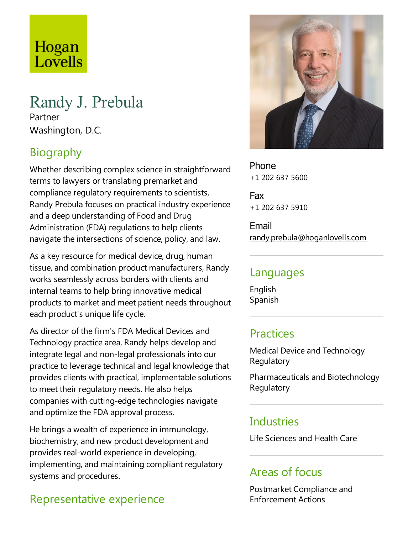# Hogan Lovells

## Randy J. Prebula

Partner Washington, D.C.

## **Biography**

Whether describing complex science in straightforward terms to lawyers or translating premarket and compliance regulatory requirements to scientists, Randy Prebula focuses on practical industry experience and a deep understanding of Food and Drug Administration (FDA) regulations to help clients navigate the intersections of science, policy, and law.

As a key resource for medical device, drug, human tissue, and combination product manufacturers, Randy works seamlessly across borders with clients and internal teams to help bring innovative medical products to market and meet patient needs throughout each product's unique life cycle.

As director of the firm's FDA Medical Devices and Technology practice area, Randy helps develop and integrate legal and non-legal professionals into our practice to leverage technical and legal knowledge that provides clients with practical, implementable solutions to meet their regulatory needs. He also helps companies with cutting-edge technologies navigate and optimize the FDA approval process.

He brings a wealth of experience in immunology, biochemistry, and new product development and provides real-world experience in developing, implementing, and maintaining compliant regulatory systems and procedures.

## Representative experience



Phone +1 202 637 5600

Fax +1 202 637 5910

Email randy.prebula@hoganlovells.com

#### Languages

English Spanish

## **Practices**

Medical Device and Technology **Regulatory** 

Pharmaceuticals and Biotechnology Regulatory

#### Industries

Life Sciences and Health Care

## Areas of focus

Postmarket Compliance and Enforcement Actions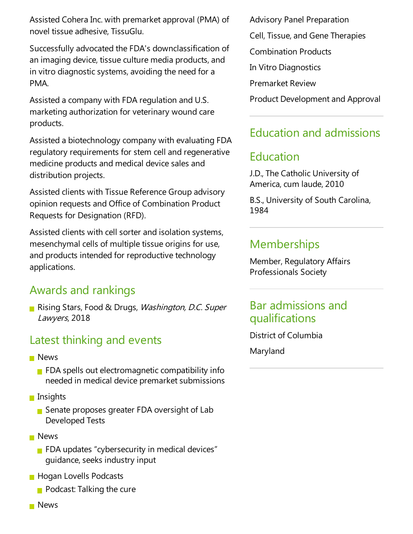Assisted Cohera Inc. with premarket approval (PMA) of novel tissue adhesive, TissuGlu.

Successfully advocated the FDA's downclassification of an imaging device, tissue culture media products, and in vitro diagnostic systems, avoiding the need for a PMA.

Assisted a company with FDA regulation and U.S. marketing authorization for veterinary wound care products.

Assisted a biotechnology company with evaluating FDA regulatory requirements for stem cell and regenerative medicine products and medical device sales and distribution projects.

Assisted clients with Tissue Reference Group advisory opinion requests and Office of Combination Product Requests for Designation (RFD).

Assisted clients with cell sorter and isolation systems, mesenchymal cells of multiple tissue origins for use, and products intended for reproductive technology applications.

## Awards and rankings

Rising Stars, Food & Drugs, Washington, D.C. Super Lawyers, 2018

## Latest thinking and events

- **News** 
	- $\blacksquare$  FDA spells out electromagnetic compatibility info needed in medical device premarket submissions
- **Insights** 
	- Senate proposes greater FDA oversight of Lab Developed Tests
- **News** 
	- **FDA** updates "cybersecurity in medical devices" guidance, seeks industry input
- **Hogan Lovells Podcasts** 
	- $\blacksquare$  Podcast: Talking the cure
- **News**
- Advisory Panel Preparation Cell, Tissue, and Gene Therapies Combination Products In Vitro Diagnostics Premarket Review
- Product Development and Approval

## Education and admissions

#### Education

J.D., The Catholic University of America, cum laude, 2010

B.S., University of South Carolina, 1984

#### **Memberships**

Member, Regulatory Affairs Professionals Society

#### Bar admissions and qualifications

District of Columbia

Maryland